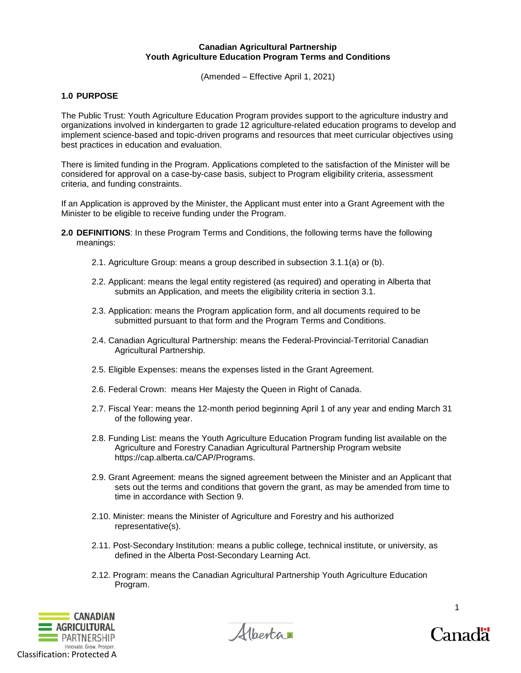### **Canadian Agricultural Partnership Youth Agriculture Education Program Terms and Conditions**

(Amended – Effective April 1, 2021)

# **1.0 PURPOSE**

The Public Trust: Youth Agriculture Education Program provides support to the agriculture industry and organizations involved in kindergarten to grade 12 agriculture-related education programs to develop and implement science-based and topic-driven programs and resources that meet curricular objectives using best practices in education and evaluation.

There is limited funding in the Program. Applications completed to the satisfaction of the Minister will be considered for approval on a case-by-case basis, subject to Program eligibility criteria, assessment criteria, and funding constraints.

If an Application is approved by the Minister, the Applicant must enter into a Grant Agreement with the Minister to be eligible to receive funding under the Program.

- **2.0 DEFINITIONS**: In these Program Terms and Conditions, the following terms have the following meanings:
	- 2.1. Agriculture Group: means a group described in subsection 3.1.1(a) or (b).
	- 2.2. Applicant: means the legal entity registered (as required) and operating in Alberta that submits an Application, and meets the eligibility criteria in section 3.1.
	- 2.3. Application: means the Program application form, and all documents required to be submitted pursuant to that form and the Program Terms and Conditions.
	- 2.4. Canadian Agricultural Partnership: means the Federal-Provincial-Territorial Canadian Agricultural Partnership.
	- 2.5. Eligible Expenses: means the expenses listed in the Grant Agreement.
	- 2.6. Federal Crown: means Her Majesty the Queen in Right of Canada.
	- 2.7. Fiscal Year: means the 12-month period beginning April 1 of any year and ending March 31 of the following year.
	- 2.8. Funding List: means the Youth Agriculture Education Program funding list available on the Agriculture and Forestry Canadian Agricultural Partnership Program website https://cap.alberta.ca/CAP/Programs.
	- 2.9. Grant Agreement: means the signed agreement between the Minister and an Applicant that sets out the terms and conditions that govern the grant, as may be amended from time to time in accordance with Section 9.
	- 2.10. Minister: means the Minister of Agriculture and Forestry and his authorized representative(s).
	- 2.11. Post-Secondary Institution: means a public college, technical institute, or university, as defined in the Alberta Post-Secondary Learning Act.
	- 2.12. Program: means the Canadian Agricultural Partnership Youth Agriculture Education Program.





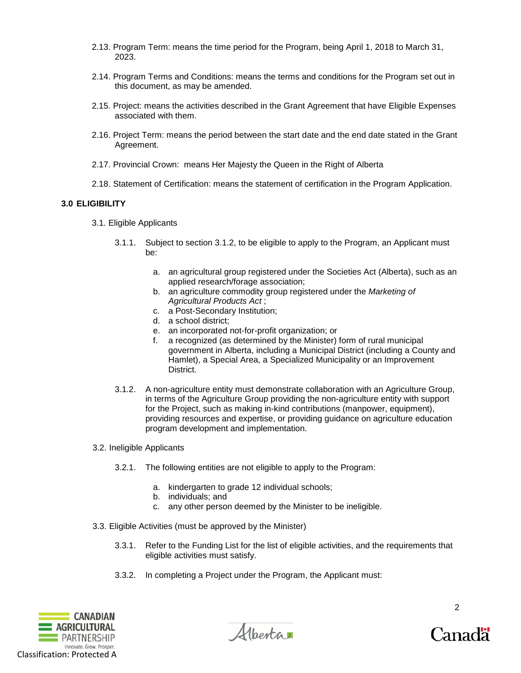- 2.13. Program Term: means the time period for the Program, being April 1, 2018 to March 31, 2023.
- 2.14. Program Terms and Conditions: means the terms and conditions for the Program set out in this document, as may be amended.
- 2.15. Project: means the activities described in the Grant Agreement that have Eligible Expenses associated with them.
- 2.16. Project Term: means the period between the start date and the end date stated in the Grant Agreement.
- 2.17. Provincial Crown: means Her Majesty the Queen in the Right of Alberta
- 2.18. Statement of Certification: means the statement of certification in the Program Application.

### **3.0 ELIGIBILITY**

- 3.1. Eligible Applicants
	- 3.1.1. Subject to section 3.1.2, to be eligible to apply to the Program, an Applicant must be:
		- a. an agricultural group registered under the Societies Act (Alberta), such as an applied research/forage association;
		- b. an agriculture commodity group registered under the *Marketing of Agricultural Products Act* ;
		- c. a Post-Secondary Institution;
		- d. a school district;
		- e. an incorporated not-for-profit organization; or
		- f. a recognized (as determined by the Minister) form of rural municipal government in Alberta, including a Municipal District (including a County and Hamlet), a Special Area, a Specialized Municipality or an Improvement District.
	- 3.1.2. A non-agriculture entity must demonstrate collaboration with an Agriculture Group, in terms of the Agriculture Group providing the non-agriculture entity with support for the Project, such as making in-kind contributions (manpower, equipment), providing resources and expertise, or providing guidance on agriculture education program development and implementation.
- 3.2. Ineligible Applicants
	- 3.2.1. The following entities are not eligible to apply to the Program:
		- a. kindergarten to grade 12 individual schools;
		- b. individuals; and
		- c. any other person deemed by the Minister to be ineligible.
- 3.3. Eligible Activities (must be approved by the Minister)
	- 3.3.1. Refer to the Funding List for the list of eligible activities, and the requirements that eligible activities must satisfy.
	- 3.3.2. In completing a Project under the Program, the Applicant must:





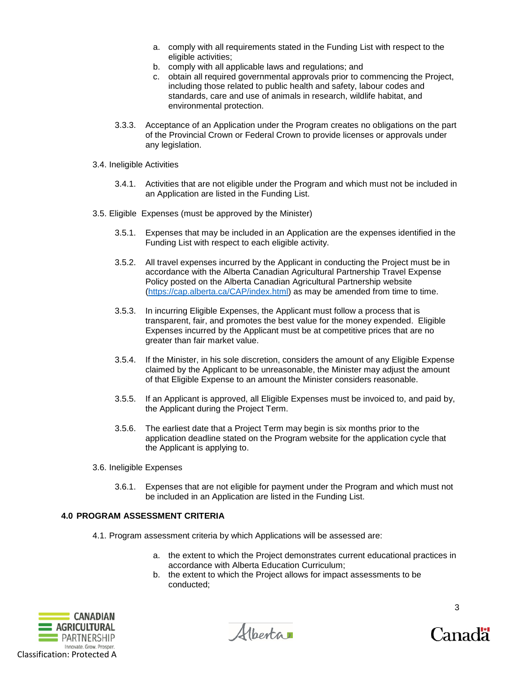- a. comply with all requirements stated in the Funding List with respect to the eligible activities;
- b. comply with all applicable laws and regulations; and
- c. obtain all required governmental approvals prior to commencing the Project, including those related to public health and safety, labour codes and standards, care and use of animals in research, wildlife habitat, and environmental protection.
- 3.3.3. Acceptance of an Application under the Program creates no obligations on the part of the Provincial Crown or Federal Crown to provide licenses or approvals under any legislation.
- 3.4. Ineligible Activities
	- 3.4.1. Activities that are not eligible under the Program and which must not be included in an Application are listed in the Funding List.
- 3.5. Eligible Expenses (must be approved by the Minister)
	- 3.5.1. Expenses that may be included in an Application are the expenses identified in the Funding List with respect to each eligible activity.
	- 3.5.2. All travel expenses incurred by the Applicant in conducting the Project must be in accordance with the Alberta Canadian Agricultural Partnership Travel Expense Policy posted on the Alberta Canadian Agricultural Partnership website [\(https://cap.alberta.ca/CAP/index.html\)](https://cap.alberta.ca/CAP/index.html) as may be amended from time to time.
	- 3.5.3. In incurring Eligible Expenses, the Applicant must follow a process that is transparent, fair, and promotes the best value for the money expended. Eligible Expenses incurred by the Applicant must be at competitive prices that are no greater than fair market value.
	- 3.5.4. If the Minister, in his sole discretion, considers the amount of any Eligible Expense claimed by the Applicant to be unreasonable, the Minister may adjust the amount of that Eligible Expense to an amount the Minister considers reasonable.
	- 3.5.5. If an Applicant is approved, all Eligible Expenses must be invoiced to, and paid by, the Applicant during the Project Term.
	- 3.5.6. The earliest date that a Project Term may begin is six months prior to the application deadline stated on the Program website for the application cycle that the Applicant is applying to.
- 3.6. Ineligible Expenses
	- 3.6.1. Expenses that are not eligible for payment under the Program and which must not be included in an Application are listed in the Funding List.

# **4.0 PROGRAM ASSESSMENT CRITERIA**

- 4.1. Program assessment criteria by which Applications will be assessed are:
	- a. the extent to which the Project demonstrates current educational practices in accordance with Alberta Education Curriculum;
	- b. the extent to which the Project allows for impact assessments to be conducted;



Albertar

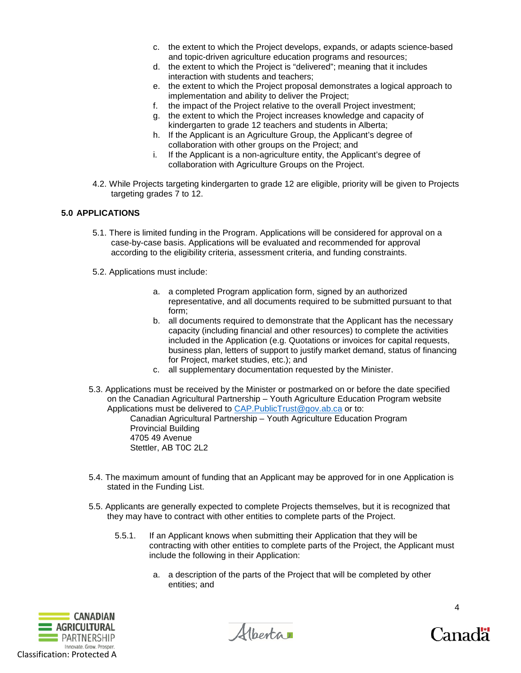- c. the extent to which the Project develops, expands, or adapts science-based and topic-driven agriculture education programs and resources;
- d. the extent to which the Project is "delivered"; meaning that it includes interaction with students and teachers;
- e. the extent to which the Project proposal demonstrates a logical approach to implementation and ability to deliver the Project;
- f. the impact of the Project relative to the overall Project investment;
- g. the extent to which the Project increases knowledge and capacity of kindergarten to grade 12 teachers and students in Alberta;
- h. If the Applicant is an Agriculture Group, the Applicant's degree of collaboration with other groups on the Project; and
- i. If the Applicant is a non-agriculture entity, the Applicant's degree of collaboration with Agriculture Groups on the Project.
- 4.2. While Projects targeting kindergarten to grade 12 are eligible, priority will be given to Projects targeting grades 7 to 12.

# **5.0 APPLICATIONS**

- 5.1. There is limited funding in the Program. Applications will be considered for approval on a case-by-case basis. Applications will be evaluated and recommended for approval according to the eligibility criteria, assessment criteria, and funding constraints.
- 5.2. Applications must include:
	- a. a completed Program application form, signed by an authorized representative, and all documents required to be submitted pursuant to that form;
	- b. all documents required to demonstrate that the Applicant has the necessary capacity (including financial and other resources) to complete the activities included in the Application (e.g. Quotations or invoices for capital requests, business plan, letters of support to justify market demand, status of financing for Project, market studies, etc.); and
	- c. all supplementary documentation requested by the Minister.
- 5.3. Applications must be received by the Minister or postmarked on or before the date specified on the Canadian Agricultural Partnership – Youth Agriculture Education Program website Applications must be delivered to [CAP.PublicTrust@gov.ab.ca](mailto:CAP.PublicTrust@gov.ab.ca) or to:

Canadian Agricultural Partnership – Youth Agriculture Education Program Provincial Building 4705 49 Avenue Stettler, AB T0C 2L2

- 5.4. The maximum amount of funding that an Applicant may be approved for in one Application is stated in the Funding List.
- 5.5. Applicants are generally expected to complete Projects themselves, but it is recognized that they may have to contract with other entities to complete parts of the Project.
	- 5.5.1. If an Applicant knows when submitting their Application that they will be contracting with other entities to complete parts of the Project, the Applicant must include the following in their Application:
		- a. a description of the parts of the Project that will be completed by other entities; and



Hberta

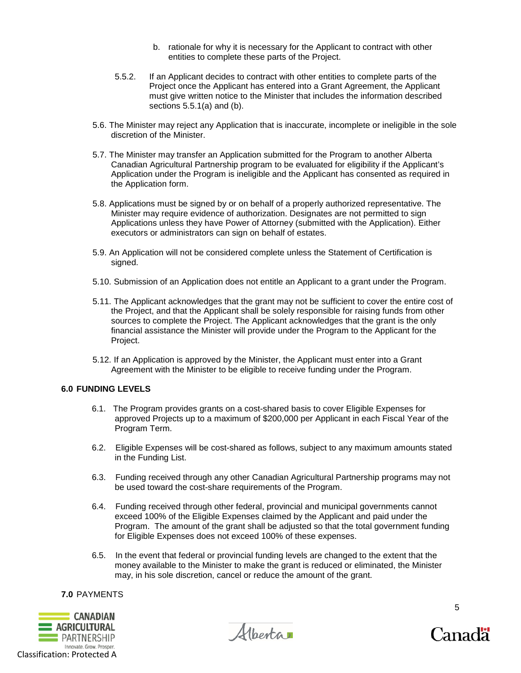- b. rationale for why it is necessary for the Applicant to contract with other entities to complete these parts of the Project.
- 5.5.2. If an Applicant decides to contract with other entities to complete parts of the Project once the Applicant has entered into a Grant Agreement, the Applicant must give written notice to the Minister that includes the information described sections 5.5.1(a) and (b).
- 5.6. The Minister may reject any Application that is inaccurate, incomplete or ineligible in the sole discretion of the Minister.
- 5.7. The Minister may transfer an Application submitted for the Program to another Alberta Canadian Agricultural Partnership program to be evaluated for eligibility if the Applicant's Application under the Program is ineligible and the Applicant has consented as required in the Application form.
- 5.8. Applications must be signed by or on behalf of a properly authorized representative. The Minister may require evidence of authorization. Designates are not permitted to sign Applications unless they have Power of Attorney (submitted with the Application). Either executors or administrators can sign on behalf of estates.
- 5.9. An Application will not be considered complete unless the Statement of Certification is signed.
- 5.10. Submission of an Application does not entitle an Applicant to a grant under the Program.
- 5.11. The Applicant acknowledges that the grant may not be sufficient to cover the entire cost of the Project, and that the Applicant shall be solely responsible for raising funds from other sources to complete the Project. The Applicant acknowledges that the grant is the only financial assistance the Minister will provide under the Program to the Applicant for the Project.
- 5.12. If an Application is approved by the Minister, the Applicant must enter into a Grant Agreement with the Minister to be eligible to receive funding under the Program.

### **6.0 FUNDING LEVELS**

- 6.1. The Program provides grants on a cost-shared basis to cover Eligible Expenses for approved Projects up to a maximum of \$200,000 per Applicant in each Fiscal Year of the Program Term.
- 6.2. Eligible Expenses will be cost-shared as follows, subject to any maximum amounts stated in the Funding List.
- 6.3. Funding received through any other Canadian Agricultural Partnership programs may not be used toward the cost-share requirements of the Program.
- 6.4. Funding received through other federal, provincial and municipal governments cannot exceed 100% of the Eligible Expenses claimed by the Applicant and paid under the Program. The amount of the grant shall be adjusted so that the total government funding for Eligible Expenses does not exceed 100% of these expenses.
- 6.5. In the event that federal or provincial funding levels are changed to the extent that the money available to the Minister to make the grant is reduced or eliminated, the Minister may, in his sole discretion, cancel or reduce the amount of the grant.

### **7.0** PAYMENTS



Alberta

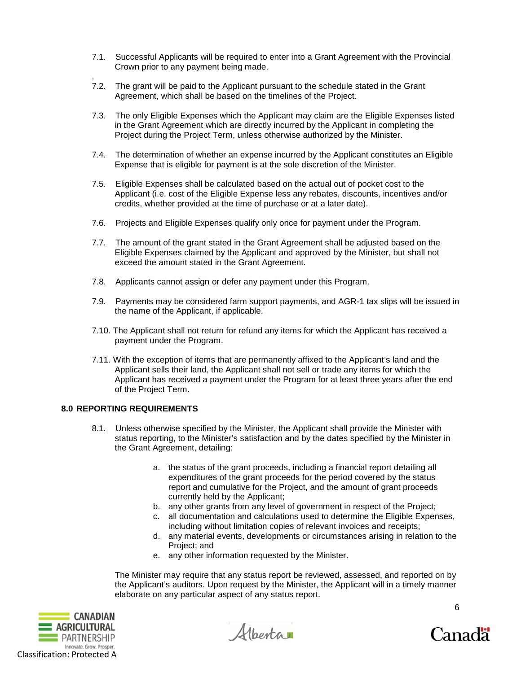- 7.1. Successful Applicants will be required to enter into a Grant Agreement with the Provincial Crown prior to any payment being made.
- . 7.2. The grant will be paid to the Applicant pursuant to the schedule stated in the Grant Agreement, which shall be based on the timelines of the Project.
- 7.3. The only Eligible Expenses which the Applicant may claim are the Eligible Expenses listed in the Grant Agreement which are directly incurred by the Applicant in completing the Project during the Project Term, unless otherwise authorized by the Minister.
- 7.4. The determination of whether an expense incurred by the Applicant constitutes an Eligible Expense that is eligible for payment is at the sole discretion of the Minister.
- 7.5. Eligible Expenses shall be calculated based on the actual out of pocket cost to the Applicant (i.e. cost of the Eligible Expense less any rebates, discounts, incentives and/or credits, whether provided at the time of purchase or at a later date).
- 7.6. Projects and Eligible Expenses qualify only once for payment under the Program.
- 7.7. The amount of the grant stated in the Grant Agreement shall be adjusted based on the Eligible Expenses claimed by the Applicant and approved by the Minister, but shall not exceed the amount stated in the Grant Agreement.
- 7.8. Applicants cannot assign or defer any payment under this Program.
- 7.9. Payments may be considered farm support payments, and AGR-1 tax slips will be issued in the name of the Applicant, if applicable.
- 7.10. The Applicant shall not return for refund any items for which the Applicant has received a payment under the Program.
- 7.11. With the exception of items that are permanently affixed to the Applicant's land and the Applicant sells their land, the Applicant shall not sell or trade any items for which the Applicant has received a payment under the Program for at least three years after the end of the Project Term.

# **8.0 REPORTING REQUIREMENTS**

- 8.1. Unless otherwise specified by the Minister, the Applicant shall provide the Minister with status reporting, to the Minister's satisfaction and by the dates specified by the Minister in the Grant Agreement, detailing:
	- a. the status of the grant proceeds, including a financial report detailing all expenditures of the grant proceeds for the period covered by the status report and cumulative for the Project, and the amount of grant proceeds currently held by the Applicant;
	- b. any other grants from any level of government in respect of the Project;
	- c. all documentation and calculations used to determine the Eligible Expenses, including without limitation copies of relevant invoices and receipts;
	- d. any material events, developments or circumstances arising in relation to the Project; and
	- e. any other information requested by the Minister.

The Minister may require that any status report be reviewed, assessed, and reported on by the Applicant's auditors. Upon request by the Minister, the Applicant will in a timely manner elaborate on any particular aspect of any status report.





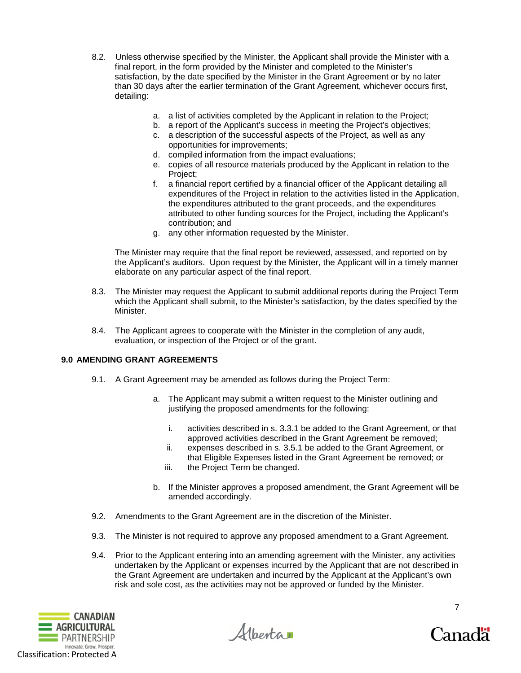- 8.2. Unless otherwise specified by the Minister, the Applicant shall provide the Minister with a final report, in the form provided by the Minister and completed to the Minister's satisfaction, by the date specified by the Minister in the Grant Agreement or by no later than 30 days after the earlier termination of the Grant Agreement, whichever occurs first, detailing:
	- a. a list of activities completed by the Applicant in relation to the Project;
	- b. a report of the Applicant's success in meeting the Project's objectives;
	- c. a description of the successful aspects of the Project, as well as any opportunities for improvements;
	- d. compiled information from the impact evaluations;
	- e. copies of all resource materials produced by the Applicant in relation to the Project;
	- f. a financial report certified by a financial officer of the Applicant detailing all expenditures of the Project in relation to the activities listed in the Application, the expenditures attributed to the grant proceeds, and the expenditures attributed to other funding sources for the Project, including the Applicant's contribution; and
	- g. any other information requested by the Minister.

The Minister may require that the final report be reviewed, assessed, and reported on by the Applicant's auditors. Upon request by the Minister, the Applicant will in a timely manner elaborate on any particular aspect of the final report.

- 8.3. The Minister may request the Applicant to submit additional reports during the Project Term which the Applicant shall submit, to the Minister's satisfaction, by the dates specified by the Minister.
- 8.4. The Applicant agrees to cooperate with the Minister in the completion of any audit, evaluation, or inspection of the Project or of the grant.

# **9.0 AMENDING GRANT AGREEMENTS**

- 9.1. A Grant Agreement may be amended as follows during the Project Term:
	- a. The Applicant may submit a written request to the Minister outlining and justifying the proposed amendments for the following:
		- i. activities described in s. 3.3.1 be added to the Grant Agreement, or that approved activities described in the Grant Agreement be removed;
		- ii. expenses described in s. 3.5.1 be added to the Grant Agreement, or that Eligible Expenses listed in the Grant Agreement be removed; or
		- iii. the Project Term be changed.
	- b. If the Minister approves a proposed amendment, the Grant Agreement will be amended accordingly.
- 9.2. Amendments to the Grant Agreement are in the discretion of the Minister.
- 9.3. The Minister is not required to approve any proposed amendment to a Grant Agreement.
- 9.4. Prior to the Applicant entering into an amending agreement with the Minister, any activities undertaken by the Applicant or expenses incurred by the Applicant that are not described in the Grant Agreement are undertaken and incurred by the Applicant at the Applicant's own risk and sole cost, as the activities may not be approved or funded by the Minister.



Albertar

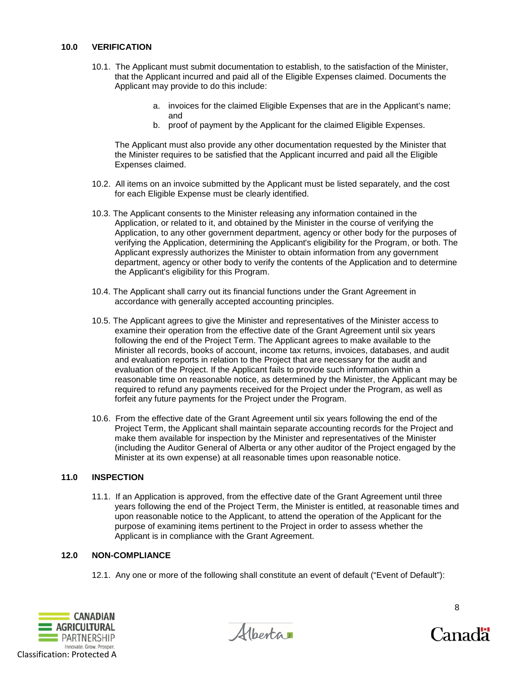- 10.1. The Applicant must submit documentation to establish, to the satisfaction of the Minister, that the Applicant incurred and paid all of the Eligible Expenses claimed. Documents the Applicant may provide to do this include:
	- a. invoices for the claimed Eligible Expenses that are in the Applicant's name; and
	- b. proof of payment by the Applicant for the claimed Eligible Expenses.

The Applicant must also provide any other documentation requested by the Minister that the Minister requires to be satisfied that the Applicant incurred and paid all the Eligible Expenses claimed.

- 10.2. All items on an invoice submitted by the Applicant must be listed separately, and the cost for each Eligible Expense must be clearly identified.
- 10.3. The Applicant consents to the Minister releasing any information contained in the Application, or related to it, and obtained by the Minister in the course of verifying the Application, to any other government department, agency or other body for the purposes of verifying the Application, determining the Applicant's eligibility for the Program, or both. The Applicant expressly authorizes the Minister to obtain information from any government department, agency or other body to verify the contents of the Application and to determine the Applicant's eligibility for this Program.
- 10.4. The Applicant shall carry out its financial functions under the Grant Agreement in accordance with generally accepted accounting principles.
- 10.5. The Applicant agrees to give the Minister and representatives of the Minister access to examine their operation from the effective date of the Grant Agreement until six years following the end of the Project Term. The Applicant agrees to make available to the Minister all records, books of account, income tax returns, invoices, databases, and audit and evaluation reports in relation to the Project that are necessary for the audit and evaluation of the Project. If the Applicant fails to provide such information within a reasonable time on reasonable notice, as determined by the Minister, the Applicant may be required to refund any payments received for the Project under the Program, as well as forfeit any future payments for the Project under the Program.
- 10.6. From the effective date of the Grant Agreement until six years following the end of the Project Term, the Applicant shall maintain separate accounting records for the Project and make them available for inspection by the Minister and representatives of the Minister (including the Auditor General of Alberta or any other auditor of the Project engaged by the Minister at its own expense) at all reasonable times upon reasonable notice.

# **11.0 INSPECTION**

11.1. If an Application is approved, from the effective date of the Grant Agreement until three years following the end of the Project Term, the Minister is entitled, at reasonable times and upon reasonable notice to the Applicant, to attend the operation of the Applicant for the purpose of examining items pertinent to the Project in order to assess whether the Applicant is in compliance with the Grant Agreement.

### **12.0 NON-COMPLIANCE**

12.1. Any one or more of the following shall constitute an event of default ("Event of Default"):



Alberta

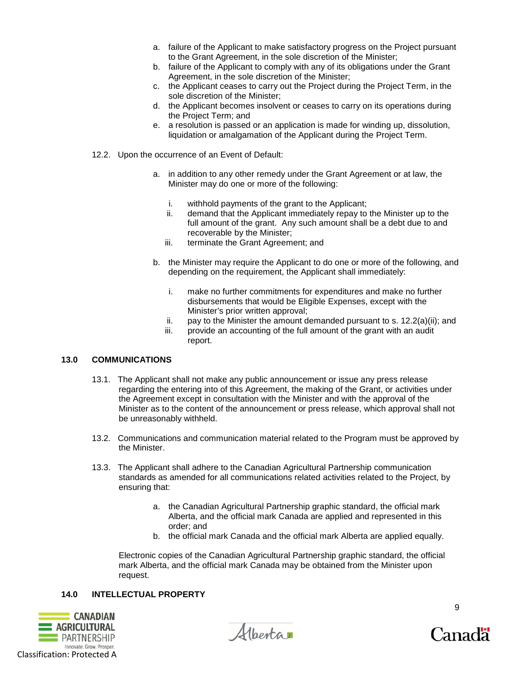- a. failure of the Applicant to make satisfactory progress on the Project pursuant to the Grant Agreement, in the sole discretion of the Minister;
- b. failure of the Applicant to comply with any of its obligations under the Grant Agreement, in the sole discretion of the Minister;
- c. the Applicant ceases to carry out the Project during the Project Term, in the sole discretion of the Minister;
- d. the Applicant becomes insolvent or ceases to carry on its operations during the Project Term; and
- e. a resolution is passed or an application is made for winding up, dissolution, liquidation or amalgamation of the Applicant during the Project Term.
- 12.2. Upon the occurrence of an Event of Default:
	- a. in addition to any other remedy under the Grant Agreement or at law, the Minister may do one or more of the following:
		- i. withhold payments of the grant to the Applicant;
		- ii. demand that the Applicant immediately repay to the Minister up to the full amount of the grant. Any such amount shall be a debt due to and recoverable by the Minister;
		- iii. terminate the Grant Agreement; and
	- b. the Minister may require the Applicant to do one or more of the following, and depending on the requirement, the Applicant shall immediately:
		- i. make no further commitments for expenditures and make no further disbursements that would be Eligible Expenses, except with the Minister's prior written approval;
		- ii. pay to the Minister the amount demanded pursuant to s.  $12.2(a)(ii)$ ; and
		- iii. provide an accounting of the full amount of the grant with an audit report.

### **13.0 COMMUNICATIONS**

- 13.1. The Applicant shall not make any public announcement or issue any press release regarding the entering into of this Agreement, the making of the Grant, or activities under the Agreement except in consultation with the Minister and with the approval of the Minister as to the content of the announcement or press release, which approval shall not be unreasonably withheld.
- 13.2. Communications and communication material related to the Program must be approved by the Minister.
- 13.3. The Applicant shall adhere to the Canadian Agricultural Partnership communication standards as amended for all communications related activities related to the Project, by ensuring that:
	- a. the Canadian Agricultural Partnership graphic standard, the official mark Alberta, and the official mark Canada are applied and represented in this order; and
	- b. the official mark Canada and the official mark Alberta are applied equally.

Electronic copies of the Canadian Agricultural Partnership graphic standard, the official mark Alberta, and the official mark Canada may be obtained from the Minister upon request.

### **14.0 INTELLECTUAL PROPERTY**





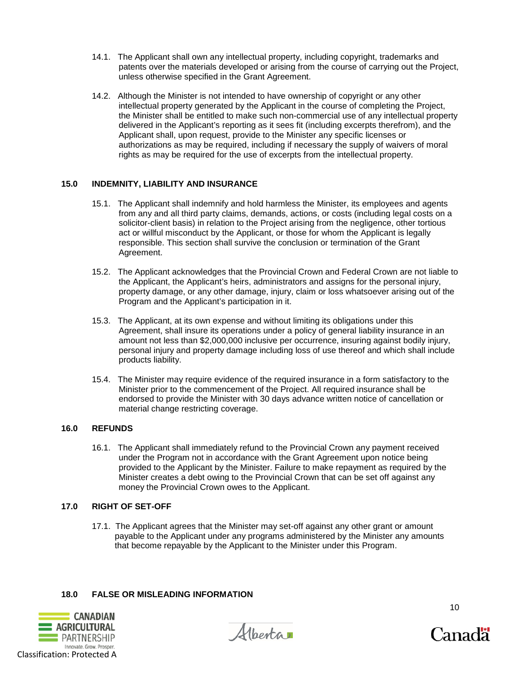- 14.1. The Applicant shall own any intellectual property, including copyright, trademarks and patents over the materials developed or arising from the course of carrying out the Project, unless otherwise specified in the Grant Agreement.
- 14.2. Although the Minister is not intended to have ownership of copyright or any other intellectual property generated by the Applicant in the course of completing the Project, the Minister shall be entitled to make such non-commercial use of any intellectual property delivered in the Applicant's reporting as it sees fit (including excerpts therefrom), and the Applicant shall, upon request, provide to the Minister any specific licenses or authorizations as may be required, including if necessary the supply of waivers of moral rights as may be required for the use of excerpts from the intellectual property.

# **15.0 INDEMNITY, LIABILITY AND INSURANCE**

- 15.1. The Applicant shall indemnify and hold harmless the Minister, its employees and agents from any and all third party claims, demands, actions, or costs (including legal costs on a solicitor-client basis) in relation to the Project arising from the negligence, other tortious act or willful misconduct by the Applicant, or those for whom the Applicant is legally responsible. This section shall survive the conclusion or termination of the Grant Agreement.
- 15.2. The Applicant acknowledges that the Provincial Crown and Federal Crown are not liable to the Applicant, the Applicant's heirs, administrators and assigns for the personal injury, property damage, or any other damage, injury, claim or loss whatsoever arising out of the Program and the Applicant's participation in it.
- 15.3. The Applicant, at its own expense and without limiting its obligations under this Agreement, shall insure its operations under a policy of general liability insurance in an amount not less than \$2,000,000 inclusive per occurrence, insuring against bodily injury, personal injury and property damage including loss of use thereof and which shall include products liability.
- 15.4. The Minister may require evidence of the required insurance in a form satisfactory to the Minister prior to the commencement of the Project. All required insurance shall be endorsed to provide the Minister with 30 days advance written notice of cancellation or material change restricting coverage.

### **16.0 REFUNDS**

16.1. The Applicant shall immediately refund to the Provincial Crown any payment received under the Program not in accordance with the Grant Agreement upon notice being provided to the Applicant by the Minister. Failure to make repayment as required by the Minister creates a debt owing to the Provincial Crown that can be set off against any money the Provincial Crown owes to the Applicant.

### **17.0 RIGHT OF SET-OFF**

17.1. The Applicant agrees that the Minister may set-off against any other grant or amount payable to the Applicant under any programs administered by the Minister any amounts that become repayable by the Applicant to the Minister under this Program.

# **18.0 FALSE OR MISLEADING INFORMATION**





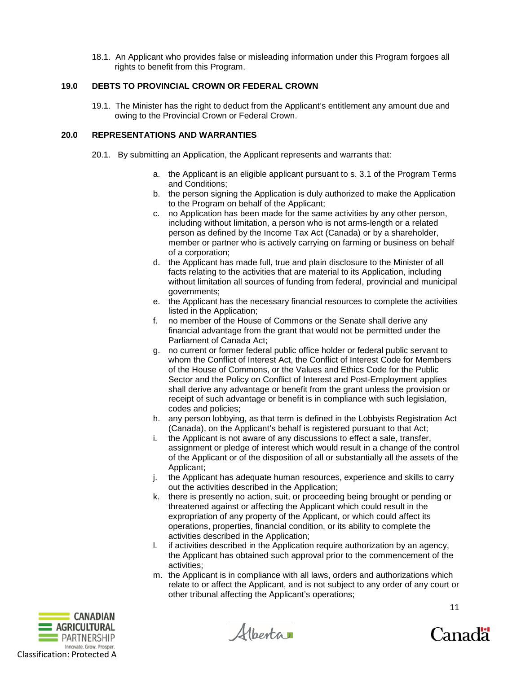18.1. An Applicant who provides false or misleading information under this Program forgoes all rights to benefit from this Program.

### **19.0 DEBTS TO PROVINCIAL CROWN OR FEDERAL CROWN**

19.1. The Minister has the right to deduct from the Applicant's entitlement any amount due and owing to the Provincial Crown or Federal Crown.

### **20.0 REPRESENTATIONS AND WARRANTIES**

- 20.1. By submitting an Application, the Applicant represents and warrants that:
	- a. the Applicant is an eligible applicant pursuant to s. 3.1 of the Program Terms and Conditions;
	- b. the person signing the Application is duly authorized to make the Application to the Program on behalf of the Applicant;
	- c. no Application has been made for the same activities by any other person, including without limitation, a person who is not arms-length or a related person as defined by the Income Tax Act (Canada) or by a shareholder, member or partner who is actively carrying on farming or business on behalf of a corporation;
	- d. the Applicant has made full, true and plain disclosure to the Minister of all facts relating to the activities that are material to its Application, including without limitation all sources of funding from federal, provincial and municipal governments;
	- e. the Applicant has the necessary financial resources to complete the activities listed in the Application;
	- f. no member of the House of Commons or the Senate shall derive any financial advantage from the grant that would not be permitted under the Parliament of Canada Act;
	- g. no current or former federal public office holder or federal public servant to whom the Conflict of Interest Act, the Conflict of Interest Code for Members of the House of Commons, or the Values and Ethics Code for the Public Sector and the Policy on Conflict of Interest and Post-Employment applies shall derive any advantage or benefit from the grant unless the provision or receipt of such advantage or benefit is in compliance with such legislation, codes and policies;
	- h. any person lobbying, as that term is defined in the Lobbyists Registration Act (Canada), on the Applicant's behalf is registered pursuant to that Act;
	- i. the Applicant is not aware of any discussions to effect a sale, transfer, assignment or pledge of interest which would result in a change of the control of the Applicant or of the disposition of all or substantially all the assets of the Applicant;
	- j. the Applicant has adequate human resources, experience and skills to carry out the activities described in the Application;
	- k. there is presently no action, suit, or proceeding being brought or pending or threatened against or affecting the Applicant which could result in the expropriation of any property of the Applicant, or which could affect its operations, properties, financial condition, or its ability to complete the activities described in the Application;
	- l. if activities described in the Application require authorization by an agency, the Applicant has obtained such approval prior to the commencement of the activities;
	- m. the Applicant is in compliance with all laws, orders and authorizations which relate to or affect the Applicant, and is not subject to any order of any court or other tribunal affecting the Applicant's operations;



Alberta



11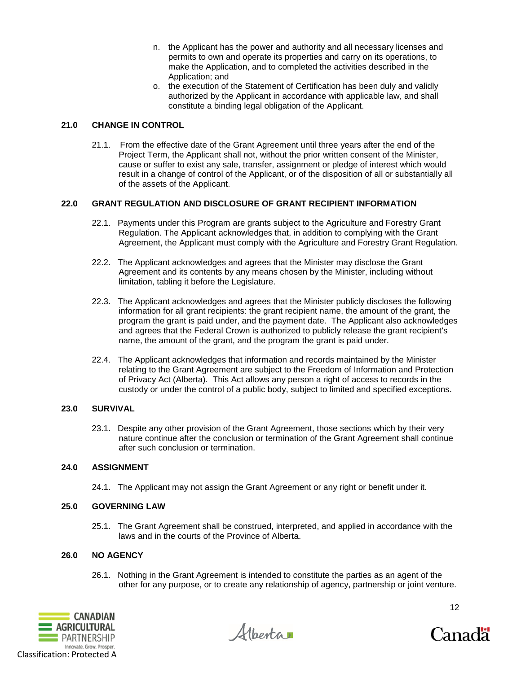- n. the Applicant has the power and authority and all necessary licenses and permits to own and operate its properties and carry on its operations, to make the Application, and to completed the activities described in the Application; and
- o. the execution of the Statement of Certification has been duly and validly authorized by the Applicant in accordance with applicable law, and shall constitute a binding legal obligation of the Applicant.

# **21.0 CHANGE IN CONTROL**

21.1. From the effective date of the Grant Agreement until three years after the end of the Project Term, the Applicant shall not, without the prior written consent of the Minister, cause or suffer to exist any sale, transfer, assignment or pledge of interest which would result in a change of control of the Applicant, or of the disposition of all or substantially all of the assets of the Applicant.

# **22.0 GRANT REGULATION AND DISCLOSURE OF GRANT RECIPIENT INFORMATION**

- 22.1. Payments under this Program are grants subject to the Agriculture and Forestry Grant Regulation. The Applicant acknowledges that, in addition to complying with the Grant Agreement, the Applicant must comply with the Agriculture and Forestry Grant Regulation.
- 22.2. The Applicant acknowledges and agrees that the Minister may disclose the Grant Agreement and its contents by any means chosen by the Minister, including without limitation, tabling it before the Legislature.
- 22.3. The Applicant acknowledges and agrees that the Minister publicly discloses the following information for all grant recipients: the grant recipient name, the amount of the grant, the program the grant is paid under, and the payment date. The Applicant also acknowledges and agrees that the Federal Crown is authorized to publicly release the grant recipient's name, the amount of the grant, and the program the grant is paid under.
- 22.4. The Applicant acknowledges that information and records maintained by the Minister relating to the Grant Agreement are subject to the Freedom of Information and Protection of Privacy Act (Alberta). This Act allows any person a right of access to records in the custody or under the control of a public body, subject to limited and specified exceptions.

# **23.0 SURVIVAL**

23.1. Despite any other provision of the Grant Agreement, those sections which by their very nature continue after the conclusion or termination of the Grant Agreement shall continue after such conclusion or termination.

# **24.0 ASSIGNMENT**

24.1. The Applicant may not assign the Grant Agreement or any right or benefit under it.

# **25.0 GOVERNING LAW**

25.1. The Grant Agreement shall be construed, interpreted, and applied in accordance with the laws and in the courts of the Province of Alberta.

# **26.0 NO AGENCY**

26.1. Nothing in the Grant Agreement is intended to constitute the parties as an agent of the other for any purpose, or to create any relationship of agency, partnership or joint venture.